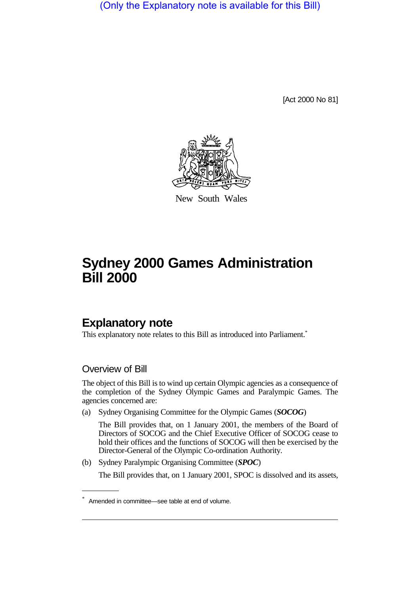(Only the Explanatory note is available for this Bill)

[Act 2000 No 81]



New South Wales

# **Sydney 2000 Games Administration Bill 2000**

## **Explanatory note**

This explanatory note relates to this Bill as introduced into Parliament.<sup>\*</sup>

#### Overview of Bill

The object of this Bill is to wind up certain Olympic agencies as a consequence of the completion of the Sydney Olympic Games and Paralympic Games. The agencies concerned are:

(a) Sydney Organising Committee for the Olympic Games (*SOCOG*)

The Bill provides that, on 1 January 2001, the members of the Board of Directors of SOCOG and the Chief Executive Officer of SOCOG cease to hold their offices and the functions of SOCOG will then be exercised by the Director-General of the Olympic Co-ordination Authority.

(b) Sydney Paralympic Organising Committee (*SPOC*)

The Bill provides that, on 1 January 2001, SPOC is dissolved and its assets,

<sup>\*</sup> Amended in committee—see table at end of volume.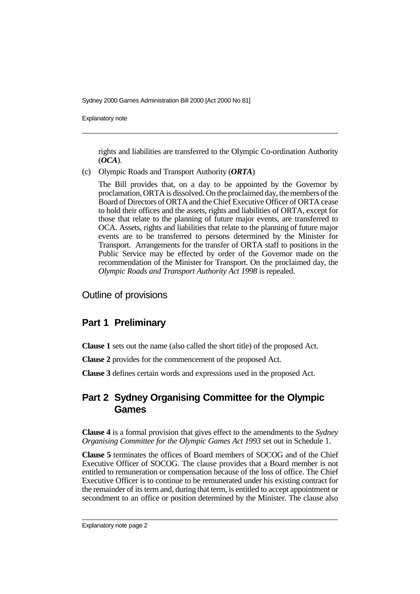Explanatory note

rights and liabilities are transferred to the Olympic Co-ordination Authority (*OCA*).

(c) Olympic Roads and Transport Authority (*ORTA*)

The Bill provides that, on a day to be appointed by the Governor by proclamation, ORTA is dissolved. On the proclaimed day, the members of the Board of Directors of ORTA and the Chief Executive Officer of ORTA cease to hold their offices and the assets, rights and liabilities of ORTA, except for those that relate to the planning of future major events, are transferred to OCA. Assets, rights and liabilities that relate to the planning of future major events are to be transferred to persons determined by the Minister for Transport. Arrangements for the transfer of ORTA staff to positions in the Public Service may be effected by order of the Governor made on the recommendation of the Minister for Transport. On the proclaimed day, the *Olympic Roads and Transport Authority Act 1998* is repealed.

Outline of provisions

#### **Part 1 Preliminary**

**Clause 1** sets out the name (also called the short title) of the proposed Act.

**Clause 2** provides for the commencement of the proposed Act.

**Clause 3** defines certain words and expressions used in the proposed Act.

### **Part 2 Sydney Organising Committee for the Olympic Games**

**Clause 4** is a formal provision that gives effect to the amendments to the *Sydney Organising Committee for the Olympic Games Act 1993* set out in Schedule 1.

**Clause 5** terminates the offices of Board members of SOCOG and of the Chief Executive Officer of SOCOG. The clause provides that a Board member is not entitled to remuneration or compensation because of the loss of office. The Chief Executive Officer is to continue to be remunerated under his existing contract for the remainder of its term and, during that term, is entitled to accept appointment or secondment to an office or position determined by the Minister. The clause also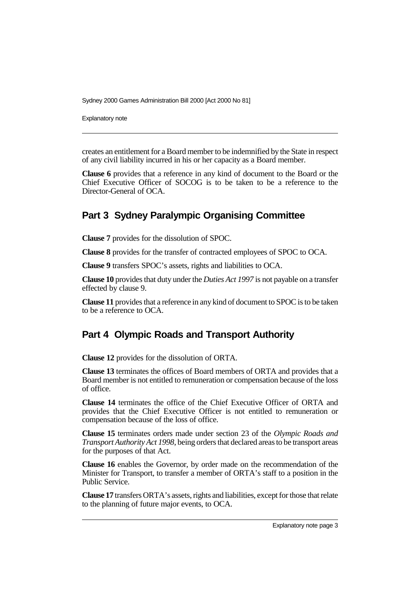Explanatory note

creates an entitlement for a Board member to be indemnified by the State in respect of any civil liability incurred in his or her capacity as a Board member.

**Clause 6** provides that a reference in any kind of document to the Board or the Chief Executive Officer of SOCOG is to be taken to be a reference to the Director-General of OCA.

## **Part 3 Sydney Paralympic Organising Committee**

**Clause 7** provides for the dissolution of SPOC.

**Clause 8** provides for the transfer of contracted employees of SPOC to OCA.

**Clause 9** transfers SPOC's assets, rights and liabilities to OCA.

**Clause 10** provides that duty under the *Duties Act 1997* is not payable on a transfer effected by clause 9.

**Clause 11** provides that a reference in any kind of document to SPOC is to be taken to be a reference to OCA.

## **Part 4 Olympic Roads and Transport Authority**

**Clause 12** provides for the dissolution of ORTA.

**Clause 13** terminates the offices of Board members of ORTA and provides that a Board member is not entitled to remuneration or compensation because of the loss of office.

**Clause 14** terminates the office of the Chief Executive Officer of ORTA and provides that the Chief Executive Officer is not entitled to remuneration or compensation because of the loss of office.

**Clause 15** terminates orders made under section 23 of the *Olympic Roads and Transport Authority Act 1998*, being orders that declared areas to be transport areas for the purposes of that Act.

**Clause 16** enables the Governor, by order made on the recommendation of the Minister for Transport, to transfer a member of ORTA's staff to a position in the Public Service.

**Clause 17** transfers ORTA's assets, rights and liabilities, except for those that relate to the planning of future major events, to OCA.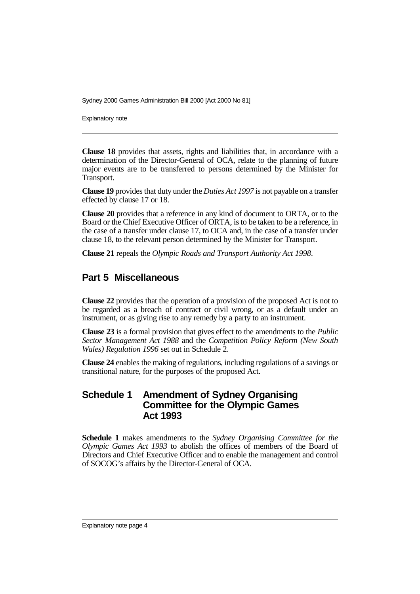Explanatory note

**Clause 18** provides that assets, rights and liabilities that, in accordance with a determination of the Director-General of OCA, relate to the planning of future major events are to be transferred to persons determined by the Minister for Transport.

**Clause 19** provides that duty under the *Duties Act 1997* is not payable on a transfer effected by clause 17 or 18.

**Clause 20** provides that a reference in any kind of document to ORTA, or to the Board or the Chief Executive Officer of ORTA, is to be taken to be a reference, in the case of a transfer under clause 17, to OCA and, in the case of a transfer under clause 18, to the relevant person determined by the Minister for Transport.

**Clause 21** repeals the *Olympic Roads and Transport Authority Act 1998*.

### **Part 5 Miscellaneous**

**Clause 22** provides that the operation of a provision of the proposed Act is not to be regarded as a breach of contract or civil wrong, or as a default under an instrument, or as giving rise to any remedy by a party to an instrument.

**Clause 23** is a formal provision that gives effect to the amendments to the *Public Sector Management Act 1988* and the *Competition Policy Reform (New South Wales) Regulation 1996* set out in Schedule 2.

**Clause 24** enables the making of regulations, including regulations of a savings or transitional nature, for the purposes of the proposed Act.

#### **Schedule 1 Amendment of Sydney Organising Committee for the Olympic Games Act 1993**

**Schedule 1** makes amendments to the *Sydney Organising Committee for the Olympic Games Act 1993* to abolish the offices of members of the Board of Directors and Chief Executive Officer and to enable the management and control of SOCOG's affairs by the Director-General of OCA.